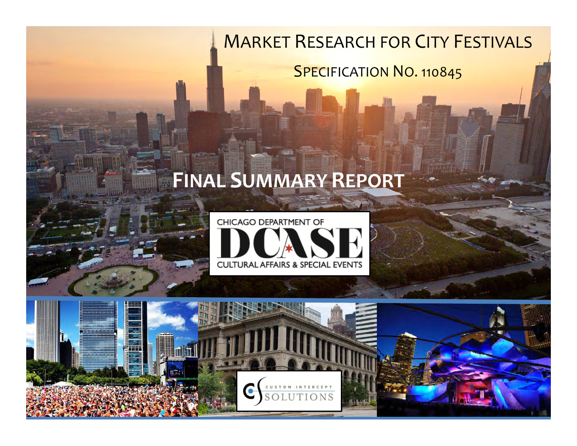## **MARKET RESEARCH FOR CITY FESTIVALS**

### **SPECIFICATION NO. 110845**

# **FINAL SUMMARY REPORT**





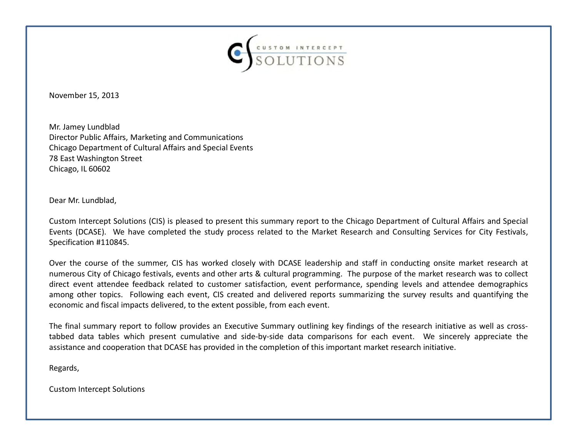

November 15, 2013

 Director Public Affairs, Marketing and Communications Mr. Jamey Lundblad Chicago Department of Cultural Affairs and Special Events 78 East Washington Street Chicago, IL 60602

Dear Mr. Lundblad,

Custom Intercept Solutions (CIS) is pleased to present this summary report to the Chicago Department of Cultural Affairs and Special Events (DCASE). We have completed the study process related to the Market Research and Consulting Services for City Festivals, Specification #110845.

Over the course of the summer, CIS has worked closely with DCASE leadership and staff in conducting onsite market research at numerous City of Chicago festivals, events and other arts & cultural programming. The purpose of the market research was to collect direct event attendee feedback related to customer satisfaction, event performance, spending levels and attendee demographics among other topics. Following each event, CIS created and delivered reports summarizing the survey results and quantifying the economic and fiscal impacts delivered, to the extent possible, from each event.

The final summary report to follow provides an Executive Summary outlining key findings of the research initiative as well as crosstabbed data tables which present cumulative and side-by-side data comparisons for each event. We sincerely appreciate the assistance and cooperation that DCASE has provided in the completion of this important market research initiative.

Regards,

Custom Intercept Solutions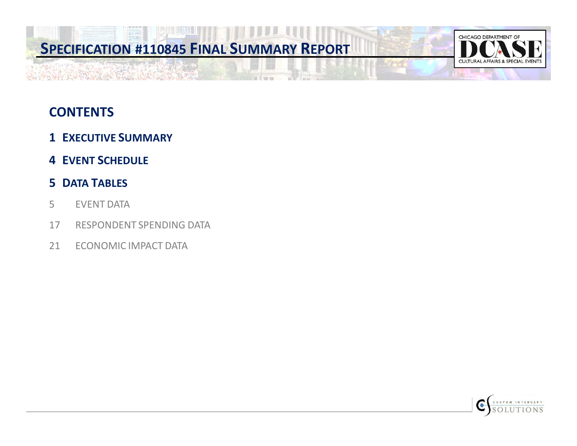

### **CONTENTS**

- **1 EXECUTIVE SUMMARY**
- **4 EVENT SCHEDULE**

#### **5 DATA TABLES**

- 5 EVENT DATA
- 17 RESPONDENT SPENDING DATA
- 21 ECONOMIC IMPACT DATA

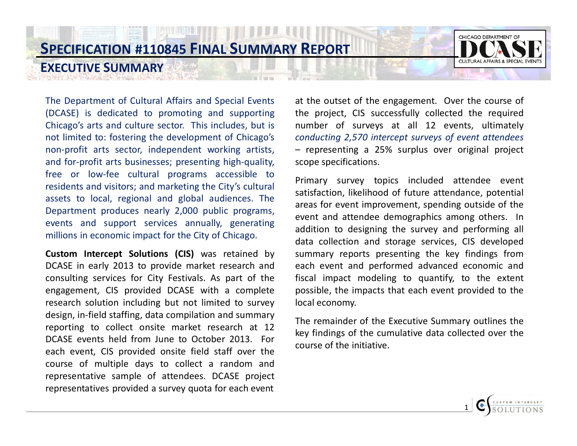



The Department of Cultural Affairs and Special Events (DCASE) is dedicated to promoting and supporting Chicago's arts and culture sector. This includes, but is not limited to: fostering the development of Chicago's non-profit arts sector, independent working artists, and for-profit arts businesses; presenting high-quality, free or low-fee cultural programs accessible to residents and visitors; and marketing the City's cultural assets to local, regional and global audiences. The Department produces nearly 2,000 public programs, events and support services annually, generating millions in economic impact for the City of Chicago.

**EXECUTIVE SUMMARY** 

**Custom Intercept Solutions (CIS)** was retained by DCASE in early 2013 to provide market research and consulting services for City Festivals. As part of the engagement, CIS provided DCASE with a complete research solution including but not limited to survey design, in-field staffing, data compilation and summary reporting to collect onsite market research at 12 DCASE events held from June to October 2013. For each event, CIS provided onsite field staff over the course of multiple days to collect a random and representative sample of attendees. DCASE project representatives provided a survey quota for each event

at the outset of the engagement. Over the course of the project, CIS successfully collected the required number of surveys at all 12 events, ultimately *conducting 2,570 intercept surveys of event attendees* – representing a 25% surplus over original project scope specifications.

Primary survey topics included attendee event satisfaction, likelihood of future attendance, potential areas for event improvement, spending outside of the event and attendee demographics among others. In addition to designing the survey and performing all data collection and storage services, CIS developed summary reports presenting the key findings from each event and performed advanced economic and fiscal impact modeling to quantify, to the extent possible, the impacts that each event provided to the local economy.

The remainder of the Executive Summary outlines the key findings of the cumulative data collected over the course of the initiative.

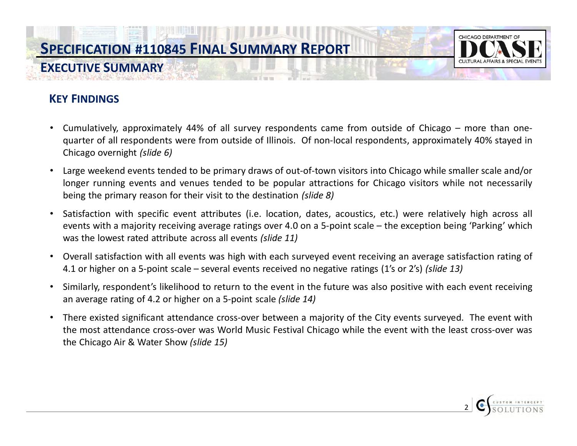

2 �

#### **KEY FINDINGS**

- Cumulatively, approximately 44% of all survey respondents came from outside of Chicago more than onequarter of all respondents were from outside of Illinois. Of non-local respondents, approximately 40% stayed in Chicago overnight *(slide 6)*
- • Large weekend events tended to be primary draws of out-of-town visitors into Chicago while smaller scale and/or longer running events and venues tended to be popular attractions for Chicago visitors while not necessarily being the primary reason for their visit to the destination *(slide 8)*
- • Satisfaction with specific event attributes (i.e. location, dates, acoustics, etc.) were relatively high across all events with a majority receiving average ratings over 4.0 on a 5-point scale – the exception being 'Parking' which was the lowest rated attribute across all events *(slide 11)*
- • Overall satisfaction with all events was high with each surveyed event receiving an average satisfaction rating of 4.1 or higher on a 5-point scale – several events received no negative ratings (1's or 2's) *(slide 13)*
- • Similarly, respondent's likelihood to return to the event in the future was also positive with each event receiving an average rating of 4.2 or higher on a 5-point scale *(slide 14)*
- • There existed significant attendance cross-over between a majority of the City events surveyed. The event with the most attendance cross-over was World Music Festival Chicago while the event with the least cross-over was the Chicago Air & Water Show *(slide 15)*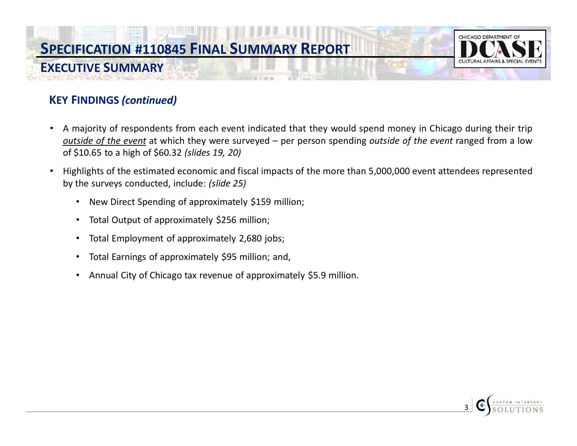

#### **KEY FINDINGS** *(continued)*

**EXECUTIVE SUMMARY** 

- • A majority of respondents from each event indicated that they would spend money in Chicago during their trip *outside of the event* at which they were surveyed – per person spending *outside of the event* ranged from a low of \$10.65 to a high of \$60.32 *(slides 19, 20)*
- • Highlights of the estimated economic and fiscal impacts of the more than 5,000,000 event attendees represented by the surveys conducted, include: *(slide 25)*
	- New Direct Spending of approximately \$159 million;
	- Total Output of approximately \$256 million;
	- Total Employment of approximately 2,680 jobs;
	- • Total Earnings of approximately \$95 million; and,
	- Annual City of Chicago tax revenue of approximately \$5.9 million.

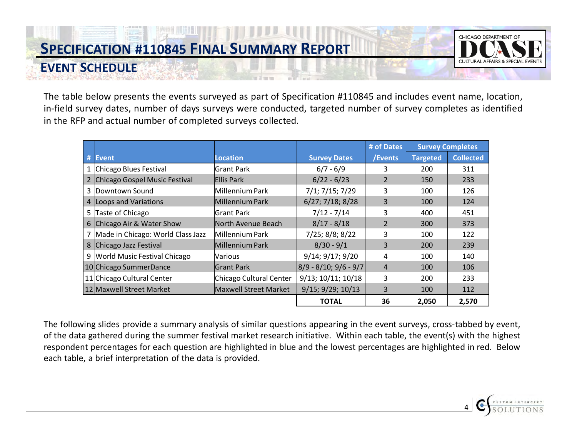**EVENT SCHEDULE** 



4 �

The table below presents the events surveyed as part of Specification #110845 and includes event name, location, in-field survey dates, number of days surveys were conducted, targeted number of survey completes as identified in the RFP and actual number of completed surveys collected.

|                                     |                         |                          | # of Dates     |                 | <b>Survey Completes</b> |
|-------------------------------------|-------------------------|--------------------------|----------------|-----------------|-------------------------|
| # Event                             | <b>Location</b>         | <b>Survey Dates</b>      | /Events        | <b>Targeted</b> | <b>Collected</b>        |
| 1 Chicago Blues Festival            | lGrant Park             | $6/7 - 6/9$              | 3              | 200             | 311                     |
| Chicago Gospel Music Festival       | <b>IEllis Park</b>      | $6/22 - 6/23$            | 2              | 150             | 233                     |
| 3 Downtown Sound                    | Millennium Park         | 7/1; 7/15; 7/29          | 3              | 100             | 126                     |
| 4 Loops and Variations              | Millennium Park         | $6/27$ ; $7/18$ ; $8/28$ | 3              | 100             | 124                     |
| 5 Taste of Chicago                  | lGrant Park             | $7/12 - 7/14$            | 3              | 400             | 451                     |
| 6 Chicago Air & Water Show          | North Avenue Beach      | $8/17 - 8/18$            | $\overline{2}$ | 300             | 373                     |
| 7 Made in Chicago: World Class Jazz | lMillennium Park        | 7/25; 8/8; 8/22          | 3              | 100             | 122                     |
| 8 Chicago Jazz Festival             | Millennium Park         | $8/30 - 9/1$             | 3              | 200             | 239                     |
| 9 World Music Festival Chicago      | <b>Various</b>          | 9/14; 9/17; 9/20         | 4              | 100             | 140                     |
| 10 Chicago SummerDance              | lGrant Park             | $8/9 - 8/10; 9/6 - 9/7$  | 4              | 100             | 106                     |
| 11 Chicago Cultural Center          | Chicago Cultural Center | 9/13; 10/11; 10/18       | 3              | 200             | 233                     |
| 12 Maxwell Street Market            | Maxwell Street Market   | 9/15; 9/29; 10/13        | 3              | 100             | 112                     |
|                                     |                         | <b>TOTAL</b>             | 36             | 2,050           | 2,570                   |

The following slides provide a summary analysis of similar questions appearing in the event surveys, cross-tabbed by event, of the data gathered during the summer festival market research initiative. Within each table, the event(s) with the highest respondent percentages for each question are highlighted in blue and the lowest percentages are highlighted in red. Below each table, a brief interpretation of the data is provided.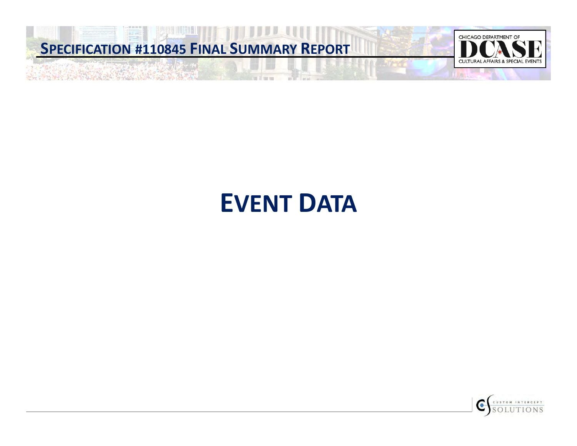

# **EVENT DATA**

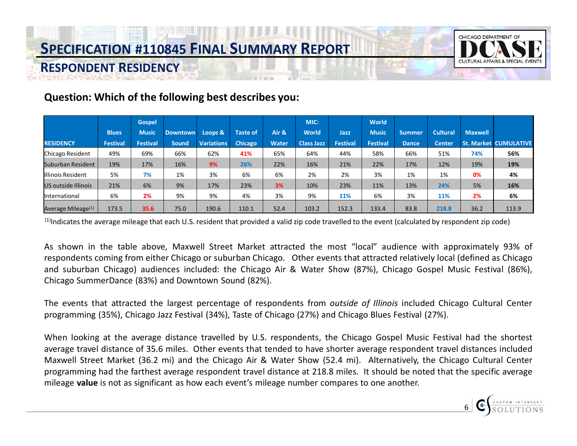

#### **Question: Which of the following best describes you:**

|                                |                 | <b>Gospel</b>   |                 |                   |                 |              | MIC:              |          | World           |               |                 |                |                              |
|--------------------------------|-----------------|-----------------|-----------------|-------------------|-----------------|--------------|-------------------|----------|-----------------|---------------|-----------------|----------------|------------------------------|
|                                | <b>Blues</b>    | <b>Music</b>    | <b>Downtown</b> | Loops &           | <b>Taste of</b> | Air &        | <b>World</b>      | Jazz     | <b>Music</b>    | <b>Summer</b> | <b>Cultural</b> | <b>Maxwell</b> |                              |
| <b>RESIDENCY</b>               | <b>Festival</b> | <b>Festival</b> | <b>Sound</b>    | <b>Variations</b> | <b>Chicago</b>  | <b>Water</b> | <b>Class Jazz</b> | Festival | <b>Festival</b> | <b>Dance</b>  | <b>Center</b>   |                | <b>St. Market CUMULATIVE</b> |
| Chicago Resident               | 49%             | 69%             | 66%             | 62%               | 41%             | 65%          | 64%               | 44%      | 58%             | 66%           | 51%             | 74%            | 56%                          |
| Suburban Resident              | 19%             | 17%             | 16%             | 9%                | 26%             | 22%          | 16%               | 21%      | 22%             | 17%           | 12%             | 19%            | 19%                          |
| Illinois Resident              | 5%              | 7%              | 1%              | 3%                | 6%              | 6%           | 2%                | 2%       | 3%              | 1%            | 1%              | 0%             | 4%                           |
| US outside Illinois            | 21%             | 6%              | 9%              | 17%               | 23%             | 3%           | 10%               | 23%      | 11%             | 13%           | 24%             | 5%             | 16%                          |
| <b>International</b>           | 6%              | 2%              | 9%              | 9%                | 4%              | 3%           | 9%                | 11%      | 6%              | 3%            | 11%             | 2%             | 6%                           |
| Average Mileage <sup>(1)</sup> | 173.5           | 35.6            | 75.0            | 190.6             | 110.1           | 52.4         | 103.2             | 152.3    | 133.4           | 83.8          | 218.8           | 36.2           | 113.9                        |

 $<sup>(1)</sup>$ Indicates the average mileage that each U.S. resident that provided a valid zip code travelled to the event (calculated by respondent zip code)</sup>

As shown in the table above, Maxwell Street Market attracted the most "local" audience with approximately 93% of respondents coming from either Chicago or suburban Chicago. Other events that attracted relatively local (defined as Chicago and suburban Chicago) audiences included: the Chicago Air & Water Show (87%), Chicago Gospel Music Festival (86%), Chicago SummerDance (83%) and Downtown Sound (82%).

The events that attracted the largest percentage of respondents from *outside of Illinois* included Chicago Cultural Center programming (35%), Chicago Jazz Festival (34%), Taste of Chicago (27%) and Chicago Blues Festival (27%).

When looking at the average distance travelled by U.S. respondents, the Chicago Gospel Music Festival had the shortest average travel distance of 35.6 miles. Other events that tended to have shorter average respondent travel distances included Maxwell Street Market (36.2 mi) and the Chicago Air & Water Show (52.4 mi). Alternatively, the Chicago Cultural Center programming had the farthest average respondent travel distance at 218.8 miles. It should be noted that the specific average mileage **value** is not as significant as how each event's mileage number compares to one another.

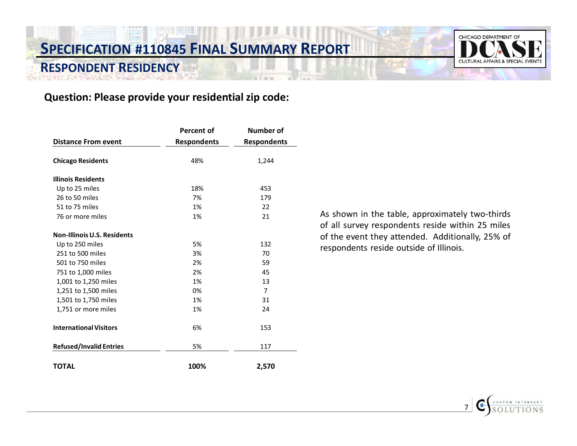### **SPECIFICATION #110845 FINAL SUMMARY REPORT RESPONDENT RESIDENCY**



#### **Question: Please provide your residential zip code:**

|                                    | <b>Percent of</b>  | <b>Number of</b>   |
|------------------------------------|--------------------|--------------------|
| <b>Distance From event</b>         | <b>Respondents</b> | <b>Respondents</b> |
| <b>Chicago Residents</b>           | 48%                | 1,244              |
| <b>Illinois Residents</b>          |                    |                    |
| Up to 25 miles                     | 18%                | 453                |
| 26 to 50 miles                     | 7%                 | 179                |
| 51 to 75 miles                     | 1%                 | 22                 |
| 76 or more miles                   | 1%                 | 21                 |
| <b>Non-Illinois U.S. Residents</b> |                    |                    |
| Up to 250 miles                    | 5%                 | 132                |
| 251 to 500 miles                   | 3%                 | 70                 |
| 501 to 750 miles                   | 2%                 | 59                 |
| 751 to 1,000 miles                 | 2%                 | 45                 |
| 1,001 to 1,250 miles               | 1%                 | 13                 |
| 1,251 to 1,500 miles               | 0%                 | $\overline{7}$     |
| 1,501 to 1,750 miles               | 1%                 | 31                 |
| 1,751 or more miles                | 1%                 | 24                 |
| <b>International Visitors</b>      | 6%                 | 153                |
| <b>Refused/Invalid Entries</b>     | 5%                 | 117                |
| <b>TOTAL</b>                       | 100%               | 2,570              |

As shown in the table, approximately two-thirds of all survey respondents reside within 25 miles of the event they attended. Additionally, 25% of respondents reside outside of Illinois.

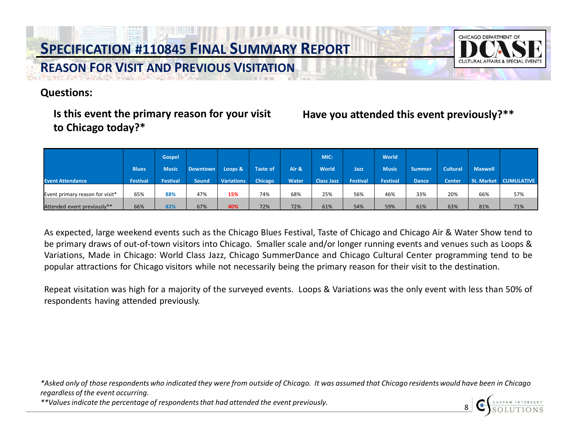

**Questions:** 

#### Is this event the primary reason for your visit **to Chicago today?\***

#### Have you attended this event previously?\*\*

|                                 |                 | <b>Gospel</b>   |                 |                   |                 |              | MIC:              |                 | <b>World</b>    |               |                 |                |                       |
|---------------------------------|-----------------|-----------------|-----------------|-------------------|-----------------|--------------|-------------------|-----------------|-----------------|---------------|-----------------|----------------|-----------------------|
|                                 | <b>Blues</b>    | <b>Music</b>    | <b>Downtown</b> | Loops &           | <b>Taste of</b> | Air &        | World             | Jazz            | <b>Music</b>    | <b>Summer</b> | <b>Cultural</b> | <b>Maxwell</b> |                       |
| <b>Event Attendance</b>         | <b>Festival</b> | <b>Festival</b> | Sound           | <b>Variations</b> | Chicago         | <b>Water</b> | <b>Class Jazz</b> | <b>Festival</b> | <b>Festival</b> | <b>Dance</b>  | <b>Center</b>   |                | St. Market CUMULATIVE |
| Event primary reason for visit* | 65%             | 88%             | 47%             | 15%               | 74%             | 68%          | 25%               | 56%             | 46%             | 33%           | 20%             | 66%            | 57%                   |
| Attended event previously**     | 66%             | 82%             | 67%             | 40%               | 72%             | 72%          | 61%               | 54%             | 59%             | 61%           | 63%             | 81%            | 71%                   |

As expected, large weekend events such as the Chicago Blues Festival, Taste of Chicago and Chicago Air & Water Show tend to be primary draws of out-of-town visitors into Chicago. Smaller scale and/or longer running events and venues such as Loops & Variations, Made in Chicago: World Class Jazz, Chicago SummerDance and Chicago Cultural Center programming tend to be popular attractions for Chicago visitors while not necessarily being the primary reason for their visit to the destination.

Repeat visitation was high for a majority of the surveyed events. Loops & Variations was the only event with less than 50% of respondents having attended previously.

 *\*Asked only of those respondents who indicated they were from outside of Chicago. It was assumed that Chicago residents would have been in Chicago regardless of the event occurring.*

*\*\*Values indicate the percentage of respondents that had attended the event previously.*

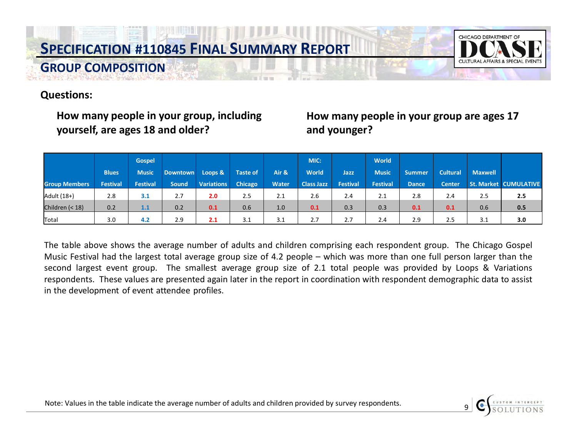

#### **Questions:**

**GROUP COMPOSITION** 

**yourself, are ages 18 and older? and younger?** 

# **How many people in your group, including How many people in your group are ages 17**

|                      |                 | <b>Gospel</b>   |                 |                   |                 |              | MIC:              |                 | <b>World</b> |               |                 |                |                              |
|----------------------|-----------------|-----------------|-----------------|-------------------|-----------------|--------------|-------------------|-----------------|--------------|---------------|-----------------|----------------|------------------------------|
|                      | <b>Blues</b>    | <b>Music</b>    | <b>Downtown</b> | Loops &           | <b>Taste of</b> | Air &        | <b>World</b>      | <b>Jazz</b>     | <b>Music</b> | <b>Summer</b> | <b>Cultural</b> | <b>Maxwell</b> |                              |
| <b>Group Members</b> | <b>Festival</b> | <b>Festival</b> | <b>Sound</b>    | <b>Variations</b> | Chicago         | <b>Water</b> | <b>Class Jazz</b> | <b>Festival</b> | Festival     | <b>Dance</b>  | <b>Center</b>   |                | <b>St. Market CUMULATIVE</b> |
| Adult (18+)          | 2.8             | 3.1             | 2.7             | 2.0               | 2.5             | 2.1          | 2.6               | 2.4             | 2.1          | 2.8           | 2.4             | 2.5            | 2.5                          |
| Children (< 18)      | 0.2             | 1.1             | 0.2             | 0.1               | 0.6             | 1.0          | 0.1               | 0.3             | 0.3          | 0.1           | 0.1             | 0.6            | 0.5                          |
| Total                | 3.0             | 4.2             | 2.9             | 2.1               | 3.1             | 3.1          | 2.7               | 2.7             | 2.4          | 2.9           | 2.5             | 3.1            | 3.0                          |

The table above shows the average number of adults and children comprising each respondent group. The Chicago Gospel Music Festival had the largest total average group size of 4.2 people – which was more than one full person larger than the second largest event group. The smallest average group size of 2.1 total people was provided by Loops & Variations respondents. These values are presented again later in the report in coordination with respondent demographic data to assist in the development of event attendee profiles.

Note: Values in the table indicate the average number of adults and children provided by survey respondents. 9

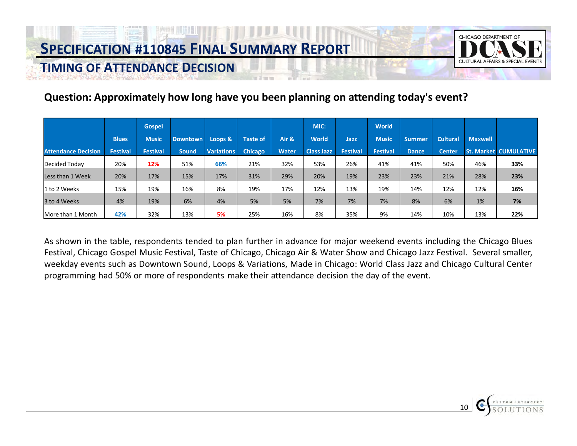**TIMING OF ATTENDANCE DECISION** 



#### **Question: Approximately how long have you been planning on attending today's event?**

|                            |                 | <b>Gospel</b> |                 |                   |                 |              | MIC:              |                 | World           |               |                 |                |                              |
|----------------------------|-----------------|---------------|-----------------|-------------------|-----------------|--------------|-------------------|-----------------|-----------------|---------------|-----------------|----------------|------------------------------|
|                            | <b>Blues</b>    | <b>Music</b>  | <b>Downtown</b> | Loops &           | <b>Taste of</b> | Air &        | <b>World</b>      | Jazz            | <b>Music</b>    | <b>Summer</b> | <b>Cultural</b> | <b>Maxwell</b> |                              |
| <b>Attendance Decision</b> | <b>Festival</b> | Festival      | <b>Sound</b>    | <b>Variations</b> | <b>Chicago</b>  | <b>Water</b> | <b>Class Jazz</b> | <b>Festival</b> | <b>Festival</b> | <b>Dance</b>  | <b>Center</b>   |                | <b>St. Market CUMULATIVE</b> |
| Decided Today              | 20%             | 12%           | 51%             | 66%               | 21%             | 32%          | 53%               | 26%             | 41%             | 41%           | 50%             | 46%            | 33%                          |
| Less than 1 Week           | 20%             | 17%           | 15%             | 17%               | 31%             | 29%          | 20%               | 19%             | 23%             | 23%           | 21%             | 28%            | 23%                          |
| 1 to 2 Weeks               | 15%             | 19%           | 16%             | 8%                | 19%             | 17%          | 12%               | 13%             | 19%             | 14%           | 12%             | 12%            | 16%                          |
| 3 to 4 Weeks               | 4%              | 19%           | 6%              | 4%                | 5%              | 5%           | 7%                | 7%              | 7%              | 8%            | 6%              | 1%             | 7%                           |
| More than 1 Month          | 42%             | 32%           | 13%             | 5%                | 25%             | 16%          | 8%                | 35%             | 9%              | 14%           | 10%             | 13%            | 22%                          |

As shown in the table, respondents tended to plan further in advance for major weekend events including the Chicago Blues Festival, Chicago Gospel Music Festival, Taste of Chicago, Chicago Air & Water Show and Chicago Jazz Festival. Several smaller, weekday events such as Downtown Sound, Loops & Variations, Made in Chicago: World Class Jazz and Chicago Cultural Center programming had 50% or more of respondents make their attendance decision the day of the event.

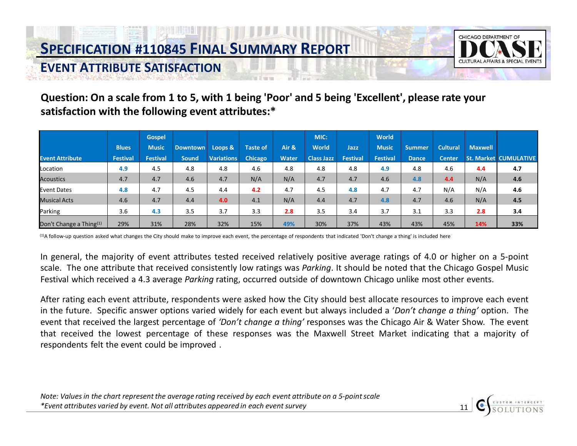

#### **Question: On a scale from 1 to 5, with 1 being 'Poor' and 5 being 'Excellent', please rate your satisfaction with the following event attributes:\***

|                                     |                 | <b>Gospel</b>   |                 |                   |                 |              | MIC:              |                 | <b>World</b>    |               |                 |                |                              |
|-------------------------------------|-----------------|-----------------|-----------------|-------------------|-----------------|--------------|-------------------|-----------------|-----------------|---------------|-----------------|----------------|------------------------------|
|                                     | <b>Blues</b>    | <b>Music</b>    | <b>Downtown</b> | Loops &           | <b>Taste of</b> | Air &        | <b>World</b>      | Jazz            | <b>Music</b>    | <b>Summer</b> | <b>Cultural</b> | <b>Maxwell</b> |                              |
| <b>Event Attribute</b>              | <b>Festival</b> | <b>Festival</b> | <b>Sound</b>    | <b>Variations</b> | Chicago         | <b>Water</b> | <b>Class Jazz</b> | <b>Festival</b> | <b>Festival</b> | <b>Dance</b>  | <b>Center</b>   |                | <b>St. Market CUMULATIVE</b> |
| Location                            | 4.9             | 4.5             | 4.8             | 4.8               | 4.6             | 4.8          | 4.8               | 4.8             | 4.9             | 4.8           | 4.6             | 4.4            | 4.7                          |
| <b>Acoustics</b>                    | 4.7             | 4.7             | 4.6             | 4.7               | N/A             | N/A          | 4.7               | 4.7             | 4.6             | 4.8           | 4.4             | N/A            | 4.6                          |
| <b>Event Dates</b>                  | 4.8             | 4.7             | 4.5             | 4.4               | 4.2             | 4.7          | 4.5               | 4.8             | 4.7             | 4.7           | N/A             | N/A            | 4.6                          |
| <b>Musical Acts</b>                 | 4.6             | 4.7             | 4.4             | 4.0               | 4.1             | N/A          | 4.4               | 4.7             | 4.8             | 4.7           | 4.6             | N/A            | 4.5                          |
| Parking                             | 3.6             | 4.3             | 3.5             | 3.7               | 3.3             | 2.8          | 3.5               | 3.4             | 3.7             | 3.1           | 3.3             | 2.8            | 3.4                          |
| Don't Change a Thing <sup>(1)</sup> | 29%             | 31%             | 28%             | 32%               | 15%             | 49%          | 30%               | 37%             | 43%             | 43%           | 45%             | 14%            | 33%                          |

(1)A follow-up question asked what changes the City should make to improve each event, the percentage of respondents that indicated 'Don't change a thing' is included here

In general, the majority of event attributes tested received relatively positive average ratings of 4.0 or higher on a 5-point scale. The one attribute that received consistently low ratings was *Parking*. It should be noted that the Chicago Gospel Music Festival which received a 4.3 average *Parking* rating, occurred outside of downtown Chicago unlike most other events.

After rating each event attribute, respondents were asked how the City should best allocate resources to improve each event in the future. Specific answer options varied widely for each event but always included a '*Don't change a thing'* option. The event that received the largest percentage of *'Don't change a thing'* responses was the Chicago Air & Water Show. The event that received the lowest percentage of these responses was the Maxwell Street Market indicating that a majority of respondents felt the event could be improved .

 *Note: Values in the chart represent the average rating received by each event attribute on a 5-point scale \*Event attributes varied by event. Not all attributes appeared in each event survey* 11

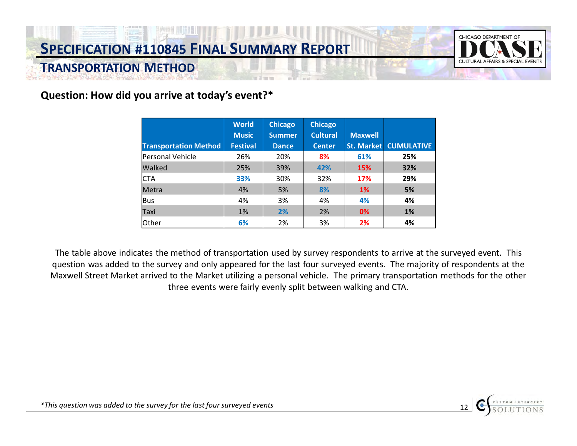

#### **Question: How did you arrive at today's event?\***

|                              | <b>World</b>    | <b>Chicago</b> | <b>Chicago</b>  |                |                   |
|------------------------------|-----------------|----------------|-----------------|----------------|-------------------|
|                              | <b>Music</b>    | <b>Summer</b>  | <b>Cultural</b> | <b>Maxwell</b> |                   |
| <b>Transportation Method</b> | <b>Festival</b> | <b>Dance</b>   | <b>Center</b>   | St. Market     | <b>CUMULATIVE</b> |
| Personal Vehicle             | 26%             | 20%            | 8%              | 61%            | 25%               |
| Walked                       | 25%             | 39%            | 42%             | 15%            | 32%               |
| <b>CTA</b>                   | 33%             | 30%            | 32%             | 17%            | 29%               |
| Metra                        | 4%              | 5%             | 8%              | <b>1%</b>      | 5%                |
| <b>Bus</b>                   | 4%              | 3%             | 4%              | 4%             | 4%                |
| Taxi                         | 1%              | 2%             | 2%              | 0%             | 1%                |
| <b>Other</b>                 | 6%              | 2%             | 3%              | 2%             | 4%                |

 The table above indicates the method of transportation used by survey respondents to arrive at the surveyed event. This question was added to the survey and only appeared for the last four surveyed events. The majority of respondents at the Maxwell Street Market arrived to the Market utilizing a personal vehicle. The primary transportation methods for the other three events were fairly evenly split between walking and CTA.

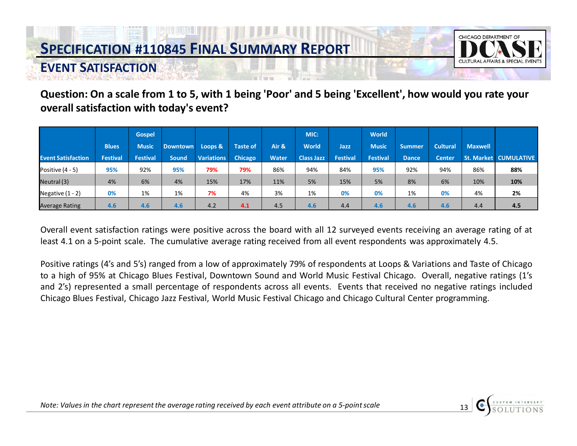

### **EVENT SATISFACTION**

**Question: On a scale from 1 to 5, with 1 being 'Poor' and 5 being 'Excellent', how would you rate your overall satisfaction with today's event?** 

|                           |                 | <b>Gospel</b>   |              |                   |                 |              | MIC:              |                 | <b>World</b>    |               |                 |                |                              |
|---------------------------|-----------------|-----------------|--------------|-------------------|-----------------|--------------|-------------------|-----------------|-----------------|---------------|-----------------|----------------|------------------------------|
|                           | <b>Blues</b>    | <b>Music</b>    | Downtown     | Loops &           | <b>Taste of</b> | Air &        | <b>World</b>      | Jazz            | <b>Music</b>    | <b>Summer</b> | <b>Cultural</b> | <b>Maxwell</b> |                              |
| <b>Event Satisfaction</b> | <b>Festival</b> | <b>Festival</b> | <b>Sound</b> | <b>Variations</b> | <b>Chicago</b>  | <b>Water</b> | <b>Class Jazz</b> | <b>Festival</b> | <b>Festival</b> | <b>Dance</b>  | <b>Center</b>   |                | <b>St. Market CUMULATIVE</b> |
| Positive $(4 - 5)$        | 95%             | 92%             | 95%          | 79%               | 79%             | 86%          | 94%               | 84%             | 95%             | 92%           | 94%             | 86%            | 88%                          |
| Neutral (3)               | 4%              | 6%              | 4%           | 15%               | 17%             | 11%          | 5%                | 15%             | 5%              | 8%            | 6%              | 10%            | 10%                          |
| Negative $(1 - 2)$        | 0%              | 1%              | 1%           | 7%                | 4%              | 3%           | 1%                | 0%              | 0%              | 1%            | 0%              | 4%             | 2%                           |
| <b>Average Rating</b>     | 4.6             | 4.6             | 4.6          | 4.2               | 4.1             | 4.5          | 4.6               | 4.4             | 4.6             | 4.6           | 4.6             | 4.4            | 4.5                          |

Overall event satisfaction ratings were positive across the board with all 12 surveyed events receiving an average rating of at least 4.1 on a 5-point scale. The cumulative average rating received from all event respondents was approximately 4.5.

Positive ratings (4's and 5's) ranged from a low of approximately 79% of respondents at Loops & Variations and Taste of Chicago to a high of 95% at Chicago Blues Festival, Downtown Sound and World Music Festival Chicago. Overall, negative ratings (1's and 2's) represented a small percentage of respondents across all events. Events that received no negative ratings included Chicago Blues Festival, Chicago Jazz Festival, World Music Festival Chicago and Chicago Cultural Center programming.

 *Note: Values in the chart represent the average rating received by each event attribute on a 5-point scale* 13

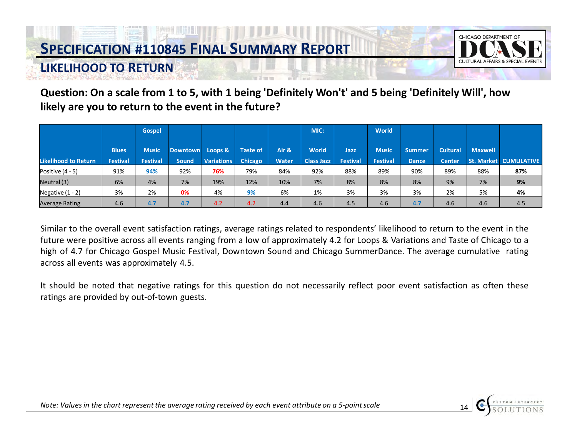**LIKELIHOOD TO RETURN** 



#### **Question: On a scale from 1 to 5, with 1 being 'Definitely Won't' and 5 being 'Definitely Will', how likely are you to return to the event in the future?**

|                             |                 | <b>Gospel</b>   |                 |                   |          |       | MIC:              |                 | <b>World</b>    |               |                 |                |                              |
|-----------------------------|-----------------|-----------------|-----------------|-------------------|----------|-------|-------------------|-----------------|-----------------|---------------|-----------------|----------------|------------------------------|
|                             | <b>Blues</b>    | <b>Music</b>    | <b>Downtown</b> | Loops &           | Taste of | Air & | <b>World</b>      | Jazz            | <b>Music</b>    | <b>Summer</b> | <b>Cultural</b> | <b>Maxwell</b> |                              |
| <b>Likelihood to Return</b> | <b>Festival</b> | <b>Festival</b> | <b>Sound</b>    | <b>Variations</b> | Chicago  | Water | <b>Class Jazz</b> | <b>Festival</b> | <b>Festival</b> | <b>Dance</b>  | <b>Center</b>   |                | <b>St. Market CUMULATIVE</b> |
| Positive (4 - 5)            | 91%             | 94%             | 92%             | 76%               | 79%      | 84%   | 92%               | 88%             | 89%             | 90%           | 89%             | 88%            | 87%                          |
| Neutral (3)                 | 6%              | 4%              | 7%              | 19%               | 12%      | 10%   | 7%                | 8%              | 8%              | 8%            | 9%              | 7%             | 9%                           |
| Negative $(1 - 2)$          | 3%              | 2%              | 0%              | 4%                | 9%       | 6%    | 1%                | 3%              | 3%              | 3%            | 2%              | 5%             | 4%                           |
| <b>Average Rating</b>       | 4.6             | 4.7             | 4.7             | 4.2               | 4.2      | 4.4   | 4.6               | 4.5             | 4.6             | 4.7           | 4.6             | 4.6            | 4.5                          |

Similar to the overall event satisfaction ratings, average ratings related to respondents' likelihood to return to the event in the future were positive across all events ranging from a low of approximately 4.2 for Loops & Variations and Taste of Chicago to a high of 4.7 for Chicago Gospel Music Festival, Downtown Sound and Chicago SummerDance. The average cumulative rating across all events was approximately 4.5.

It should be noted that negative ratings for this question do not necessarily reflect poor event satisfaction as often these ratings are provided by out-of-town guests.

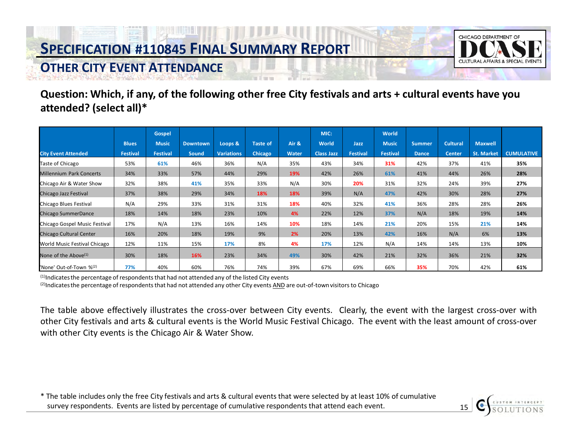

#### **OTHER CITY EVENT ATTENDANCE**

**Question: Which, if any, of the following other free City festivals and arts + cultural events have you attended? (select all)\*** 

|                                     |              | <b>Gospel</b>   |                 |                   |                 |       | MIC:              |                 | <b>World</b>    |               |               |                   |                   |
|-------------------------------------|--------------|-----------------|-----------------|-------------------|-----------------|-------|-------------------|-----------------|-----------------|---------------|---------------|-------------------|-------------------|
|                                     | <b>Blues</b> | <b>Music</b>    | <b>Downtown</b> | Loops &           | <b>Taste of</b> | Air & | <b>World</b>      | Jazz            | <b>Music</b>    | <b>Summer</b> | Cultural      | <b>Maxwell</b>    |                   |
| <b>City Event Attended</b>          | Festival     | <b>Festival</b> | <b>Sound</b>    | <b>Variations</b> | <b>Chicago</b>  | Water | <b>Class Jazz</b> | <b>Festival</b> | <b>Festival</b> | <b>Dance</b>  | <b>Center</b> | <b>St. Market</b> | <b>CUMULATIVE</b> |
| Taste of Chicago                    | 53%          | 61%             | 46%             | 36%               | N/A             | 35%   | 43%               | 34%             | 31%             | 42%           | 37%           | 41%               | 35%               |
| <b>Millennium Park Concerts</b>     | 34%          | 33%             | 57%             | 44%               | 29%             | 19%   | 42%               | 26%             | 61%             | 41%           | 44%           | 26%               | 28%               |
| Chicago Air & Water Show            | 32%          | 38%             | 41%             | 35%               | 33%             | N/A   | 30%               | 20%             | 31%             | 32%           | 24%           | 39%               | 27%               |
| Chicago Jazz Festival               | 37%          | 38%             | 29%             | 34%               | 18%             | 18%   | 39%               | N/A             | 47%             | 42%           | 30%           | 28%               | 27%               |
| Chicago Blues Festival              | N/A          | 29%             | 33%             | 31%               | 31%             | 18%   | 40%               | 32%             | 41%             | 36%           | 28%           | 28%               | 26%               |
| Chicago SummerDance                 | 18%          | 14%             | 18%             | 23%               | 10%             | 4%    | 22%               | 12%             | 37%             | N/A           | 18%           | 19%               | 14%               |
| Chicago Gospel Music Festival       | 17%          | N/A             | 13%             | 16%               | 14%             | 10%   | 18%               | 14%             | 21%             | 20%           | 15%           | 21%               | 14%               |
| Chicago Cultural Center             | 16%          | 20%             | 18%             | 19%               | 9%              | 2%    | 20%               | 13%             | 42%             | 16%           | N/A           | 6%                | 13%               |
| World Music Festival Chicago        | 12%          | 11%             | 15%             | 17%               | 8%              | 4%    | 17%               | 12%             | N/A             | 14%           | 14%           | 13%               | 10%               |
| None of the Above $(1)$             | 30%          | 18%             | 16%             | 23%               | 34%             | 49%   | 30%               | 42%             | 21%             | 32%           | 36%           | 21%               | 32%               |
| 'None' Out-of-Town % <sup>(2)</sup> | 77%          | 40%             | 60%             | 76%               | 74%             | 39%   | 67%               | 69%             | 66%             | 35%           | 70%           | 42%               | 61%               |

(1) Indicates the percentage of respondents that had not attended any of the listed City events

 $^{(2)}$ Indicates the percentage of respondents that had not attended any other City events AND are out-of-town visitors to Chicago

The table above effectively illustrates the cross-over between City events. Clearly, the event with the largest cross-over with other City festivals and arts & cultural events is the World Music Festival Chicago. The event with the least amount of cross-over with other City events is the Chicago Air & Water Show.

\* The table includes only the free City festivals and arts & cultural events that were selected by at least 10% of cumulative survey respondents. Events are listed by percentage of cumulative respondents that attend each event. 15

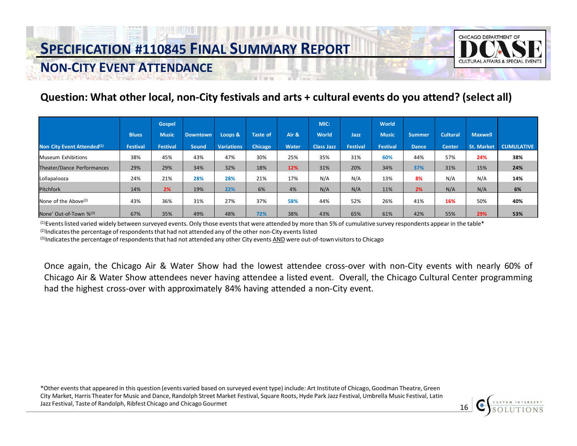

#### **NON-CITY EVENT ATTENDANCE**

#### **Question: What other local, non-City festivals and arts + cultural events do you attend? (select all)**

|                                        |              | <b>Gospel</b>   |                 |                   |          |       | MIC:              |                 | World           |               |                 |                |                   |
|----------------------------------------|--------------|-----------------|-----------------|-------------------|----------|-------|-------------------|-----------------|-----------------|---------------|-----------------|----------------|-------------------|
|                                        | <b>Blues</b> | <b>Music</b>    | <b>Downtown</b> | Loops &           | Taste of | Air & | World             | Jazz            | <b>Music</b>    | <b>Summer</b> | <b>Cultural</b> | <b>Maxwell</b> |                   |
| Non City Event Attended <sup>(1)</sup> | Festival     | <b>Festival</b> | <b>Sound</b>    | <b>Variations</b> | Chicago  | Water | <b>Class Jazz</b> | <b>Festival</b> | <b>Festival</b> | <b>Dance</b>  | <b>Center</b>   | St. Market     | <b>CUMULATIVE</b> |
| <b>Museum Exhibitions</b>              | 38%          | 45%             | 43%             | 47%               | 30%      | 25%   | 35%               | 31%             | 60%             | 44%           | 57%             | 24%            | 38%               |
| Theater/Dance Performances             | 29%          | 29%             | 34%             | 32%               | 18%      | 12%   | 31%               | 20%             | 34%             | 37%           | 31%             | 15%            | 24%               |
| Lollapalooza                           | 24%          | 21%             | 28%             | 28%               | 21%      | 17%   | N/A               | N/A             | 13%             | 8%            | N/A             | N/A            | 14%               |
| <b>Pitchfork</b>                       | 14%          | 2%              | 19%             | 22%               | 6%       | 4%    | N/A               | N/A             | 11%             | 2%            | N/A             | N/A            | 6%                |
| None of the Above $(2)$                | 43%          | 36%             | 31%             | 27%               | 37%      | 58%   | 44%               | 52%             | 26%             | 41%           | 16%             | 50%            | 40%               |
| None' Out-of-Town % <sup>(3)</sup>     | 67%          | 35%             | 49%             | 48%               | 72%      | 38%   | 43%               | 65%             | 61%             | 42%           | 55%             | 29%            | 53%               |

<sup>(1)</sup>Events listed varied widely between surveyed events. Only those events that were attended by more than 5% of cumulative survey respondents appear in the table\*  $^{(2)}$ Indicates the percentage of respondents that had not attended any of the other non-City events listed

(3)Indicates the percentage of respondents that had not attended any other City events AND were out-of-town visitors to Chicago

Once again, the Chicago Air & Water Show had the lowest attendee cross-over with non-City events with nearly 60% of Chicago Air & Water Show attendees never having attendee a listed event. Overall, the Chicago Cultural Center programming had the highest cross-over with approximately 84% having attended a non-City event.

 \*Other events that appeared in this question (events varied based on surveyed event type) include: Art Institute of Chicago, Goodman Theatre, Green City Market, Harris Theater for Music and Dance, Randolph Street Market Festival, Square Roots, Hyde Park Jazz Festival, Umbrella Music Festival, Latin Jazz Festival, Taste of Randolph, Ribfest Chicago and Chicago Gourmet and Allen Chicago Gourmet and Chicago Gourmet and Chicago Gourmet and Chicago and Chicago Gourmet and David Chicago and Chicago Gourmet and David Chicag

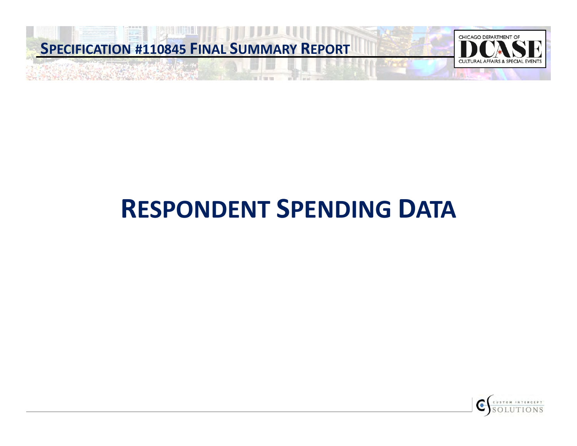

# **RESPONDENT SPENDING DATA**

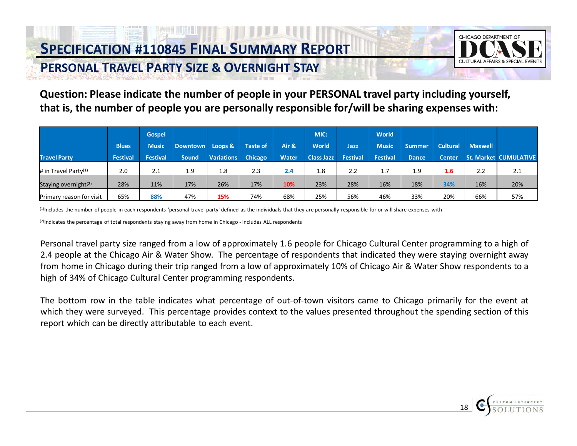

18

### **PERSONAL TRAVEL PARTY SIZE & OVERNIGHT STAY**

**Question: Please indicate the number of people in your PERSONAL travel party including yourself, that is, the number of people you are personally responsible for/will be sharing expenses with:** 

|                                  |                 | <b>Gospel</b>   |                 |                   |                 |              | MIC:              |          | World           |               |                 |                |                              |
|----------------------------------|-----------------|-----------------|-----------------|-------------------|-----------------|--------------|-------------------|----------|-----------------|---------------|-----------------|----------------|------------------------------|
|                                  | <b>Blues</b>    | <b>Music</b>    | <b>Downtown</b> | Loops &           | <b>Taste of</b> | Air &        | <b>World</b>      | Jazz     | <b>Music</b>    | <b>Summer</b> | <b>Cultural</b> | <b>Maxwell</b> |                              |
| <b>Travel Party</b>              | <b>Festival</b> | <b>Festival</b> | <b>Sound</b>    | <b>Variations</b> | <b>Chicago</b>  | <b>Water</b> | <b>Class Jazz</b> | Festival | <b>Festival</b> | <b>Dance</b>  | <b>Center</b>   |                | <b>St. Market CUMULATIVE</b> |
| # in Travel Party <sup>(1)</sup> | 2.0             | 2.1             | 1.9             | 1.8               | 2.3             | 2.4          | 1.8               | 2.2      | 1.7             | 1.9           | 1.6             | 2.2            | 2.1                          |
| Staying overnight <sup>(2)</sup> | 28%             | 11%             | 17%             | 26%               | 17%             | 10%          | 23%               | 28%      | 16%             | 18%           | 34%             | 16%            | 20%                          |
| Primary reason for visit         | 65%             | 88%             | 47%             | 15%               | 74%             | 68%          | 25%               | 56%      | 46%             | 33%           | 20%             | 66%            | 57%                          |

(1)Includes the number of people in each respondents 'personal travel party' defined as the individuals that they are personally responsible for or will share expenses with

<sup>(2)</sup>Indicates the percentage of total respondents staying away from home in Chicago - includes ALL respondents

Personal travel party size ranged from a low of approximately 1.6 people for Chicago Cultural Center programming to a high of 2.4 people at the Chicago Air & Water Show. The percentage of respondents that indicated they were staying overnight away from home in Chicago during their trip ranged from a low of approximately 10% of Chicago Air & Water Show respondents to a high of 34% of Chicago Cultural Center programming respondents.

The bottom row in the table indicates what percentage of out-of-town visitors came to Chicago primarily for the event at which they were surveyed. This percentage provides context to the values presented throughout the spending section of this report which can be directly attributable to each event.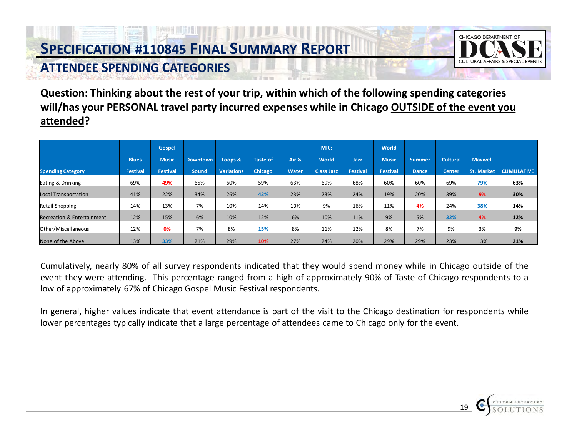### **ATTENDEE SPENDING CATEGORIES**



 **Question: Thinking about the rest of your trip, within which of the following spending categories will/has your PERSONAL travel party incurred expenses while in Chicago OUTSIDE of the event you attended?** 

|                                       |                 | Gospel       |                 |                   |                 |              | MIC:              |                 | World        |               |                 |                   |                   |
|---------------------------------------|-----------------|--------------|-----------------|-------------------|-----------------|--------------|-------------------|-----------------|--------------|---------------|-----------------|-------------------|-------------------|
|                                       | <b>Blues</b>    | <b>Music</b> | <b>Downtown</b> | Loops &           | <b>Taste of</b> | Air &        | World             | Jazz            | <b>Music</b> | <b>Summer</b> | <b>Cultural</b> | <b>Maxwell</b>    |                   |
| <b>Spending Category</b>              | <b>Festival</b> | Festival     | <b>Sound</b>    | <b>Variations</b> | Chicago         | <b>Water</b> | <b>Class Jazz</b> | <b>Festival</b> | Festival     | <b>Dance</b>  | <b>Center</b>   | <b>St. Market</b> | <b>CUMULATIVE</b> |
| Eating & Drinking                     | 69%             | 49%          | 65%             | 60%               | 59%             | 63%          | 69%               | 68%             | 60%          | 60%           | 69%             | 79%               | 63%               |
| <b>Local Transportation</b>           | 41%             | 22%          | 34%             | 26%               | 42%             | 23%          | 23%               | 24%             | 19%          | 20%           | 39%             | 9%                | 30%               |
| <b>Retail Shopping</b>                | 14%             | 13%          | 7%              | 10%               | 14%             | 10%          | 9%                | 16%             | 11%          | 4%            | 24%             | 38%               | 14%               |
| <b>Recreation &amp; Entertainment</b> | 12%             | 15%          | 6%              | 10%               | 12%             | 6%           | 10%               | 11%             | 9%           | 5%            | 32%             | 4%                | 12%               |
| Other/Miscellaneous                   | 12%             | 0%           | 7%              | 8%                | 15%             | 8%           | 11%               | 12%             | 8%           | 7%            | 9%              | 3%                | 9%                |
| None of the Above                     | 13%             | 33%          | 21%             | 29%               | 10%             | 27%          | 24%               | 20%             | 29%          | 29%           | 23%             | 13%               | 21%               |

Cumulatively, nearly 80% of all survey respondents indicated that they would spend money while in Chicago outside of the event they were attending. This percentage ranged from a high of approximately 90% of Taste of Chicago respondents to a low of approximately 67% of Chicago Gospel Music Festival respondents.

In general, higher values indicate that event attendance is part of the visit to the Chicago destination for respondents while lower percentages typically indicate that a large percentage of attendees came to Chicago only for the event.

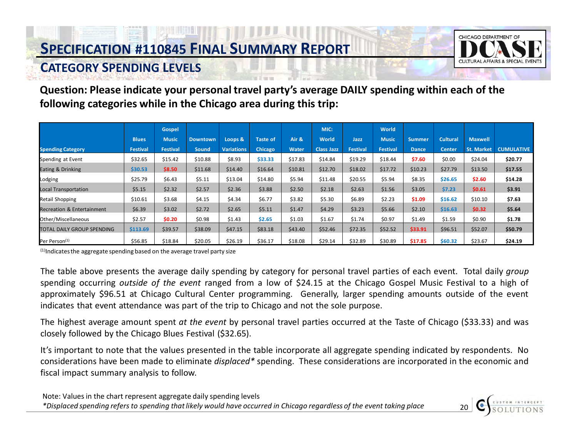

#### **CATEGORY SPENDING LEVELS**

**Question: Please indicate your personal travel party's average DAILY spending within each of the following categories while in the Chicago area during this trip:** 

|                                       |              | Gospel          |                 |                   |                 |              | MIC:              |                 | World           |               |                 |                   |                   |
|---------------------------------------|--------------|-----------------|-----------------|-------------------|-----------------|--------------|-------------------|-----------------|-----------------|---------------|-----------------|-------------------|-------------------|
|                                       | <b>Blues</b> | <b>Music</b>    | <b>Downtown</b> | Loops &           | <b>Taste of</b> | Air &        | World             | Jazz            | <b>Music</b>    | <b>Summer</b> | <b>Cultural</b> | <b>Maxwell</b>    |                   |
| <b>Spending Category</b>              | Festival     | <b>Festival</b> | <b>Sound</b>    | <b>Variations</b> | <b>Chicago</b>  | <b>Water</b> | <b>Class Jazz</b> | <b>Festival</b> | <b>Festival</b> | <b>Dance</b>  | Center          | <b>St. Market</b> | <b>CUMULATIVE</b> |
| Spending at Event                     | \$32.65      | \$15.42         | \$10.88         | \$8.93            | \$33.33         | \$17.83      | \$14.84           | \$19.29         | \$18.44         | \$7.60        | \$0.00          | \$24.04           | \$20.77           |
| Eating & Drinking                     | \$30.53      | \$8.50          | \$11.68         | \$14.40           | \$16.64         | \$10.81      | \$12.70           | \$18.02         | \$17.72         | \$10.23       | \$27.79         | \$13.50           | \$17.55           |
| Lodging                               | \$25.79      | \$6.43          | \$5.11          | \$13.04           | \$14.80         | \$5.94       | \$11.48           | \$20.55         | \$5.94          | \$8.35        | \$26.65         | \$2.60            | \$14.28           |
| <b>Local Transportation</b>           | \$5.15       | \$2.32          | \$2.57          | \$2.36            | \$3.88          | \$2.50       | \$2.18            | \$2.63          | \$1.56          | \$3.05        | \$7.23          | \$0.61            | \$3.91            |
| <b>Retail Shopping</b>                | \$10.61      | \$3.68          | \$4.15          | \$4.34            | \$6.77          | \$3.82       | \$5.30            | \$6.89          | \$2.23          | \$1.09        | \$16.62         | \$10.10           | \$7.63            |
| <b>Recreation &amp; Entertainment</b> | \$6.39       | \$3.02          | \$2.72          | \$2.65            | \$5.11          | \$1.47       | \$4.29            | \$3.23          | \$5.66          | \$2.10        | \$16.63         | \$0.32            | \$5.64            |
| Other/Miscellaneous                   | \$2.57       | \$0.20          | \$0.98          | \$1.43            | \$2.65          | \$1.03       | \$1.67            | \$1.74          | \$0.97          | \$1.49        | \$1.59          | \$0.90            | \$1.78            |
| TOTAL DAILY GROUP SPENDING            | \$113.69     | \$39.57         | \$38.09         | \$47.15           | \$83.18         | \$43.40      | \$52.46           | \$72.35         | \$52.52         | \$33.91       | \$96.51         | \$52.07           | \$50.79           |
| Per Person <sup>(1)</sup>             | \$56.85      | \$18.84         | \$20.05         | \$26.19           | \$36.17         | \$18.08      | \$29.14           | \$32.89         | \$30.89         | \$17.85       | \$60.32         | \$23.67           | \$24.19           |

 $(1)$ Indicates the aggregate spending based on the average travel party size

The table above presents the average daily spending by category for personal travel parties of each event. Total daily *group* spending occurring *outside of the event* ranged from a low of \$24.15 at the Chicago Gospel Music Festival to a high of approximately \$96.51 at Chicago Cultural Center programming. Generally, larger spending amounts outside of the event indicates that event attendance was part of the trip to Chicago and not the sole purpose.

The highest average amount spent *at the event* by personal travel parties occurred at the Taste of Chicago (\$33.33) and was closely followed by the Chicago Blues Festival (\$32.65).

It's important to note that the values presented in the table incorporate all aggregate spending indicated by respondents. No considerations have been made to eliminate *displaced\** spending. These considerations are incorporated in the economic and fiscal impact summary analysis to follow.

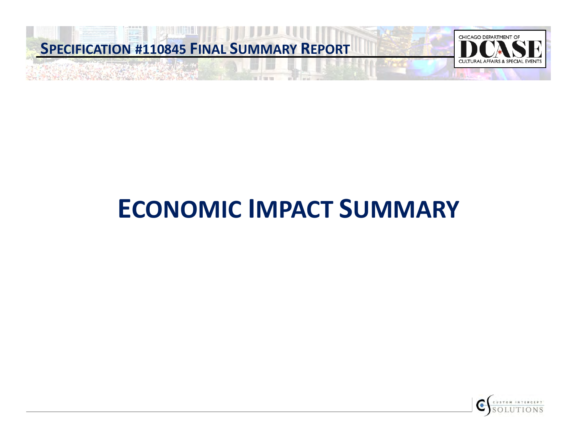

# **ECONOMIC IMPACT SUMMARY**

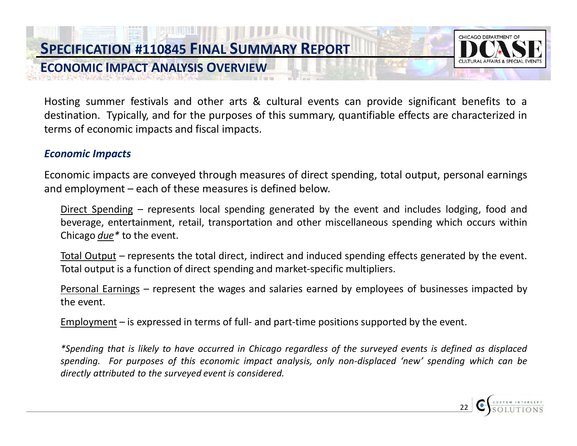**ECONOMIC IMPACT ANALYSIS OVERVIEW** 



Hosting summer festivals and other arts & cultural events can provide significant benefits to a destination. Typically, and for the purposes of this summary, quantifiable effects are characterized in terms of economic impacts and fiscal impacts.

#### *Economic Impacts*

Economic impacts are conveyed through measures of direct spending, total output, personal earnings and employment – each of these measures is defined below.

Direct Spending *–* represents local spending generated by the event and includes lodging, food and beverage, entertainment, retail, transportation and other miscellaneous spending which occurs within Chicago *due\** to the event.

Total Output *–* represents the total direct, indirect and induced spending effects generated by the event. Total output is a function of direct spending and market-specific multipliers.

Personal Earnings *–* represent the wages and salaries earned by employees of businesses impacted by the event.

Employment *–* is expressed in terms of full- and part-time positions supported by the event.

\*Spending that is likely to have occurred in Chicago regardless of the surveyed events is defined as displaced *spending. For purposes of this economic impact analysis, only non-displaced 'new' spending which can be directly attributed to the surveyed event is considered.*

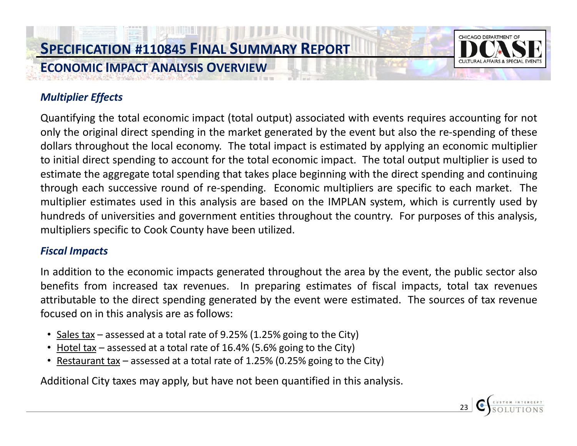

#### *Multiplier Effects*

Quantifying the total economic impact (total output) associated with events requires accounting for not only the original direct spending in the market generated by the event but also the re-spending of these dollars throughout the local economy. The total impact is estimated by applying an economic multiplier to initial direct spending to account for the total economic impact. The total output multiplier is used to estimate the aggregate total spending that takes place beginning with the direct spending and continuing through each successive round of re-spending. Economic multipliers are specific to each market. The multiplier estimates used in this analysis are based on the IMPLAN system, which is currently used by hundreds of universities and government entities throughout the country. For purposes of this analysis, multipliers specific to Cook County have been utilized.

#### *Fiscal Impacts*

In addition to the economic impacts generated throughout the area by the event, the public sector also benefits from increased tax revenues. In preparing estimates of fiscal impacts, total tax revenues attributable to the direct spending generated by the event were estimated. The sources of tax revenue focused on in this analysis are as follows:

- Sales tax assessed at a total rate of 9.25% (1.25% going to the City)
- Hotel tax assessed at a total rate of 16.4% (5.6% going to the City)
- Restaurant tax assessed at a total rate of 1.25% (0.25% going to the City)

Additional City taxes may apply, but have not been quantified in this analysis.

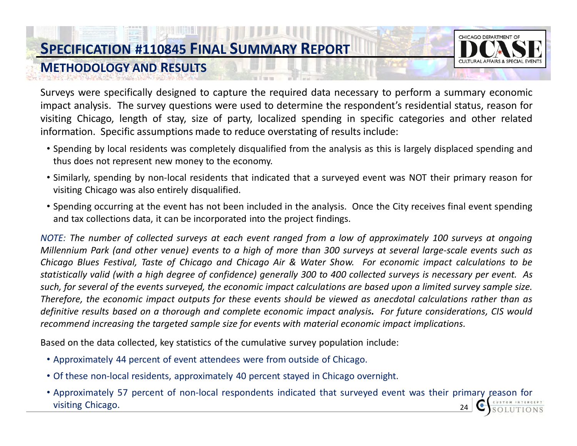

#### **METHODOLOGY AND RESULTS**

Surveys were specifically designed to capture the required data necessary to perform a summary economic impact analysis. The survey questions were used to determine the respondent's residential status, reason for visiting Chicago, length of stay, size of party, localized spending in specific categories and other related information. Specific assumptions made to reduce overstating of results include:

- Spending by local residents was completely disqualified from the analysis as this is largely displaced spending and thus does not represent new money to the economy.
- Similarly, spending by non-local residents that indicated that a surveyed event was NOT their primary reason for visiting Chicago was also entirely disqualified.
- Spending occurring at the event has not been included in the analysis. Once the City receives final event spending and tax collections data, it can be incorporated into the project findings.

NOTE: The number of collected surveys at each event ranged from a low of approximately 100 surveys at ongoing Millennium Park (and other venue) events to a high of more than 300 surveys at several large-scale events such as Chicago Blues Festival, Taste of Chicago and Chicago Air & Water Show. For economic impact calculations to be statistically valid (with a high degree of confidence) generally 300 to 400 collected surveys is necessary per event. As such, for several of the events surveyed, the economic impact calculations are based upon a limited survey sample size. Therefore, the economic impact outputs for these events should be viewed as anecdotal calculations rather than as definitive results based on a thorough and complete economic impact analysis. For future considerations, CIS would *recommend increasing the targeted sample size for events with material economic impact implications.*

Based on the data collected, key statistics of the cumulative survey population include:

- Approximately 44 percent of event attendees were from outside of Chicago.
- Of these non-local residents, approximately 40 percent stayed in Chicago overnight.
- Approximately 57 percent of non-local respondents indicated that surveyed event was their primary reason for visiting Chicago.